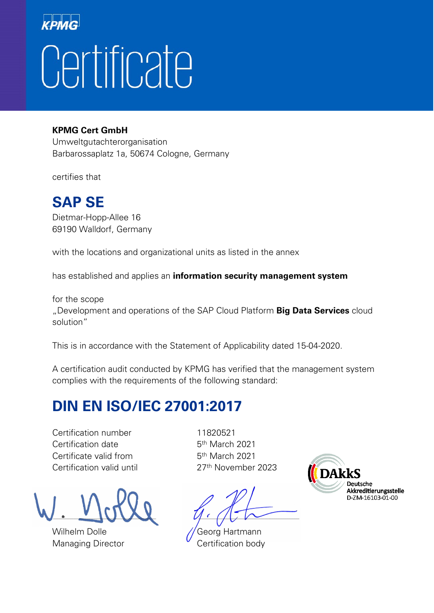## Certificate

## **KPMG Cert GmbH**

Umweltgutachterorganisation Barbarossaplatz 1a, 50674 Cologne, Germany

certifies that

## **SAP SE**

Dietmar-Hopp-Allee 16 69190 Walldorf, Germany

with the locations and organizational units as listed in the annex

has established and applies an **information security management system**

for the scope "Development and operations of the SAP Cloud Platform **Big Data Services** cloud solution"

This is in accordance with the Statement of Applicability dated 15-04-2020.

A certification audit conducted by KPMG has verified that the management system complies with the requirements of the following standard:

## **DIN EN ISO/IEC 27001:2017**

Certification number 11820521 Certification date 5<sup>th</sup> March 2021 Certificate valid from 5<sup>th</sup> March 2021 Certification valid until 27<sup>th</sup> November 2023

Wilhelm Dolle **Georg Hartmann** 

 $\Box$ 

Managing Director Certification body

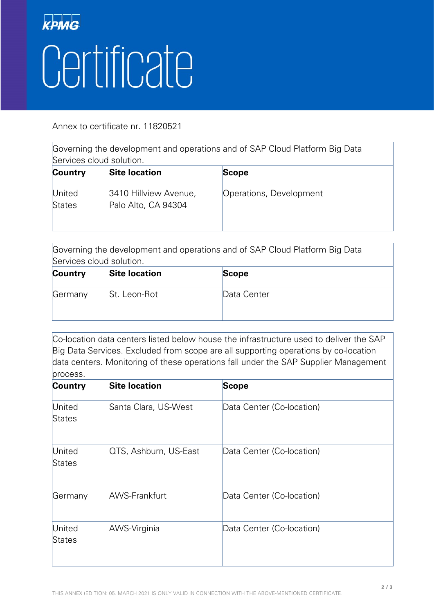

Annex to certificate nr. 11820521

Governing the development and operations and of SAP Cloud Platform Big Data Services cloud solution.

| <b>Country</b>   | <b>Site location</b>                         | <b>Scope</b>            |
|------------------|----------------------------------------------|-------------------------|
| United<br>States | 3410 Hillview Avenue,<br>Palo Alto, CA 94304 | Operations, Development |

Governing the development and operations and of SAP Cloud Platform Big Data Services cloud solution.

| <b>Country</b> | <b>Site location</b> | <b>Scope</b> |
|----------------|----------------------|--------------|
| Germany        | St. Leon-Rot         | Data Center  |

Co-location data centers listed below house the infrastructure used to deliver the SAP Big Data Services. Excluded from scope are all supporting operations by co-location data centers. Monitoring of these operations fall under the SAP Supplier Management process.

| Country                 | <b>Site location</b>  | <b>Scope</b>              |
|-------------------------|-----------------------|---------------------------|
| United<br>States        | Santa Clara, US-West  | Data Center (Co-location) |
| United<br><b>States</b> | QTS, Ashburn, US-East | Data Center (Co-location) |
| Germany                 | <b>AWS-Frankfurt</b>  | Data Center (Co-location) |
| United<br>States        | AWS-Virginia          | Data Center (Co-location) |